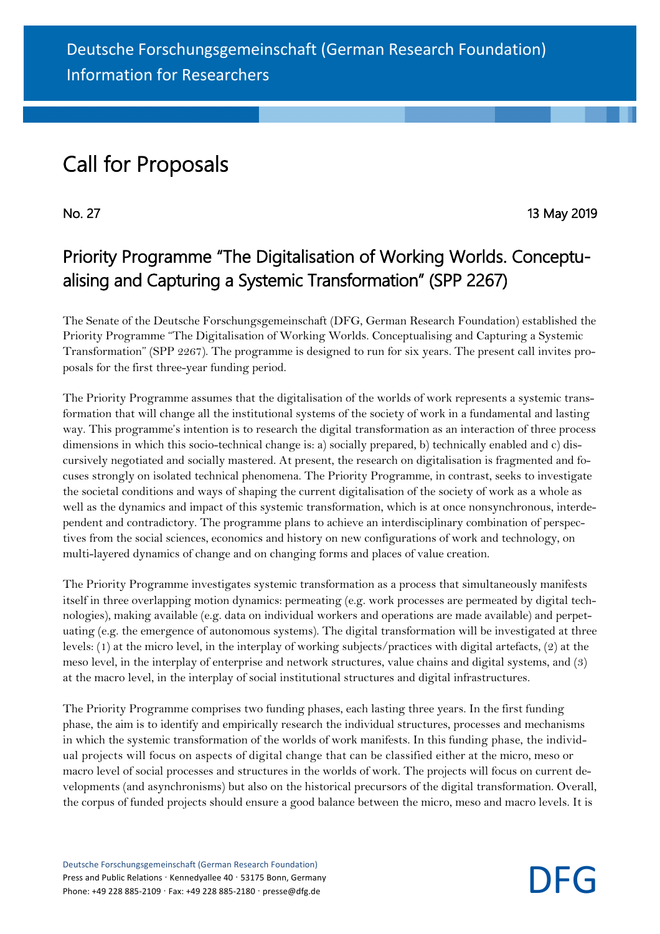## Call for Proposals

No. 27 13 May 2019

## Priority Programme "The Digitalisation of Working Worlds. Conceptualising and Capturing a Systemic Transformation" (SPP 2267)

The Senate of the Deutsche Forschungsgemeinschaft (DFG, German Research Foundation) established the Priority Programme "The Digitalisation of Working Worlds. Conceptualising and Capturing a Systemic Transformation" (SPP 2267). The programme is designed to run for six years. The present call invites proposals for the first three-year funding period.

The Priority Programme assumes that the digitalisation of the worlds of work represents a systemic transformation that will change all the institutional systems of the society of work in a fundamental and lasting way. This programme's intention is to research the digital transformation as an interaction of three process dimensions in which this socio-technical change is: a) socially prepared, b) technically enabled and c) discursively negotiated and socially mastered. At present, the research on digitalisation is fragmented and focuses strongly on isolated technical phenomena. The Priority Programme, in contrast, seeks to investigate the societal conditions and ways of shaping the current digitalisation of the society of work as a whole as well as the dynamics and impact of this systemic transformation, which is at once nonsynchronous, interdependent and contradictory. The programme plans to achieve an interdisciplinary combination of perspectives from the social sciences, economics and history on new configurations of work and technology, on multi-layered dynamics of change and on changing forms and places of value creation.

The Priority Programme investigates systemic transformation as a process that simultaneously manifests itself in three overlapping motion dynamics: permeating (e.g. work processes are permeated by digital technologies), making available (e.g. data on individual workers and operations are made available) and perpetuating (e.g. the emergence of autonomous systems). The digital transformation will be investigated at three levels: (1) at the micro level, in the interplay of working subjects/practices with digital artefacts, (2) at the meso level, in the interplay of enterprise and network structures, value chains and digital systems, and (3) at the macro level, in the interplay of social institutional structures and digital infrastructures.

The Priority Programme comprises two funding phases, each lasting three years. In the first funding phase, the aim is to identify and empirically research the individual structures, processes and mechanisms in which the systemic transformation of the worlds of work manifests. In this funding phase, the individual projects will focus on aspects of digital change that can be classified either at the micro, meso or macro level of social processes and structures in the worlds of work. The projects will focus on current developments (and asynchronisms) but also on the historical precursors of the digital transformation. Overall, the corpus of funded projects should ensure a good balance between the micro, meso and macro levels. It is

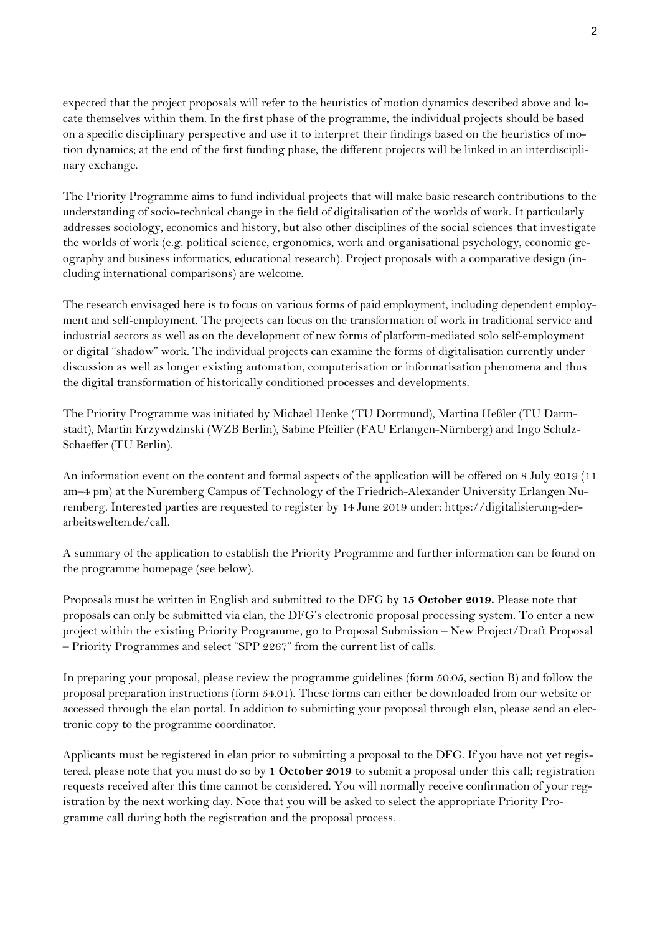expected that the project proposals will refer to the heuristics of motion dynamics described above and locate themselves within them. In the first phase of the programme, the individual projects should be based on a specific disciplinary perspective and use it to interpret their findings based on the heuristics of motion dynamics; at the end of the first funding phase, the different projects will be linked in an interdisciplinary exchange.

The Priority Programme aims to fund individual projects that will make basic research contributions to the understanding of socio-technical change in the field of digitalisation of the worlds of work. It particularly addresses sociology, economics and history, but also other disciplines of the social sciences that investigate the worlds of work (e.g. political science, ergonomics, work and organisational psychology, economic geography and business informatics, educational research). Project proposals with a comparative design (including international comparisons) are welcome.

The research envisaged here is to focus on various forms of paid employment, including dependent employment and self-employment. The projects can focus on the transformation of work in traditional service and industrial sectors as well as on the development of new forms of platform-mediated solo self-employment or digital "shadow" work. The individual projects can examine the forms of digitalisation currently under discussion as well as longer existing automation, computerisation or informatisation phenomena and thus the digital transformation of historically conditioned processes and developments.

The Priority Programme was initiated by Michael Henke (TU Dortmund), Martina Heßler (TU Darmstadt), Martin Krzywdzinski (WZB Berlin), Sabine Pfeiffer (FAU Erlangen-Nürnberg) and Ingo Schulz-Schaeffer (TU Berlin).

An information event on the content and formal aspects of the application will be offered on 8 July 2019 (11 am–4 pm) at the Nuremberg Campus of Technology of the Friedrich-Alexander University Erlangen Nuremberg. Interested parties are requested to register by 14 June 2019 under: https://digitalisierung-derarbeitswelten.de/call.

A summary of the application to establish the Priority Programme and further information can be found on the programme homepage (see below).

Proposals must be written in English and submitted to the DFG by **15 October 2019.** Please note that proposals can only be submitted via elan, the DFG's electronic proposal processing system. To enter a new project within the existing Priority Programme, go to Proposal Submission – New Project/Draft Proposal – Priority Programmes and select "SPP 2267" from the current list of calls.

In preparing your proposal, please review the programme guidelines (form 50.05, section B) and follow the proposal preparation instructions (form 54.01). These forms can either be downloaded from our website or accessed through the elan portal. In addition to submitting your proposal through elan, please send an electronic copy to the programme coordinator.

Applicants must be registered in elan prior to submitting a proposal to the DFG. If you have not yet registered, please note that you must do so by **1 October 2019** to submit a proposal under this call; registration requests received after this time cannot be considered. You will normally receive confirmation of your registration by the next working day. Note that you will be asked to select the appropriate Priority Programme call during both the registration and the proposal process.